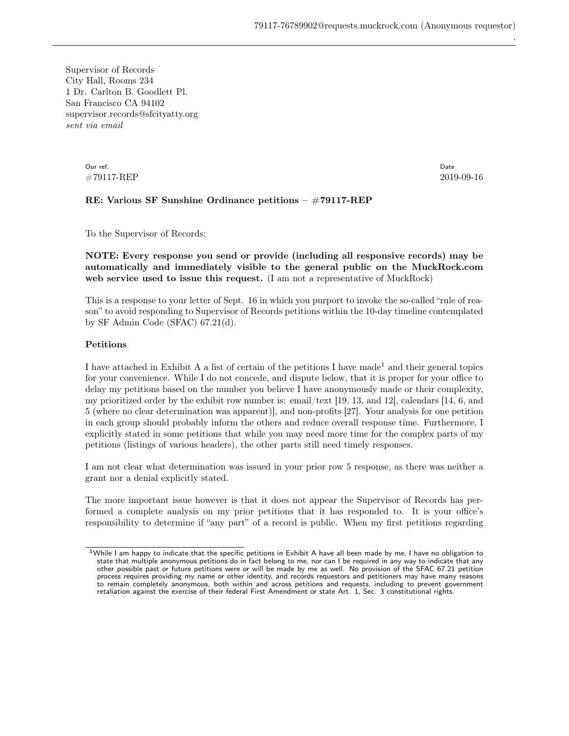Supervisor of Records City Hall, Rooms 234 1 Dr. Carlton B. Goodlett Pl. San Francisco CA 94102 supervisor.records@sfcityatty.org sent via email

> Our ref. #79117-REP

Date 2019-09-16 .

## RE: Various SF Sunshine Ordinance petitions – #79117-REP

To the Supervisor of Records:

NOTE: Every response you send or provide (including all responsive records) may be automatically and immediately visible to the general public on the MuckRock.com web service used to issue this request. (I am not a representative of MuckRock)

This is a response to your letter of Sept. 16 in which you purport to invoke the so-called "rule of reason" to avoid responding to Supervisor of Records petitions within the 10-day timeline contemplated by SF Admin Code (SFAC) 67.21(d).

## Petitions

I have attached in Exhibit A a list of certain of the petitions I have made<sup>[1](#page-0-0)</sup> and their general topics for your convenience. While I do not concede, and dispute below, that it is proper for your office to delay my petitions based on the number you believe I have anonymously made or their complexity, my prioritized order by the exhibit row number is: email/text [19, 13, and 12], calendars [14, 6, and 5 (where no clear determination was apparent)], and non-profits [27]. Your analysis for one petition in each group should probably inform the others and reduce overall response time. Furthermore, I explicitly stated in some petitions that while you may need more time for the complex parts of my petitions (listings of various headers), the other parts still need timely responses.

I am not clear what determination was issued in your prior row 5 response, as there was neither a grant nor a denial explicitly stated.

The more important issue however is that it does not appear the Supervisor of Records has performed a complete analysis on my prior petitions that it has responded to. It is your office's responsibility to determine if "any part" of a record is public. When my first petitions regarding

<span id="page-0-0"></span><sup>&</sup>lt;sup>1</sup>While I am happy to indicate that the specific petitions in Exhibit A have all been made by me, I have no obligation to state that multiple anonymous petitions do in fact belong to me, nor can I be required in any way to indicate that any other possible past or future petitions were or will be made by me as well. No provision of the SFAC 67.21 petition process requires providing my name or other identity, and records requestors and petitioners may have many reasons to remain completely anonymous, both within and across petitions and requests, including to prevent government retaliation against the exercise of their federal First Amendment or state Art. 1, Sec. 3 constitutional rights.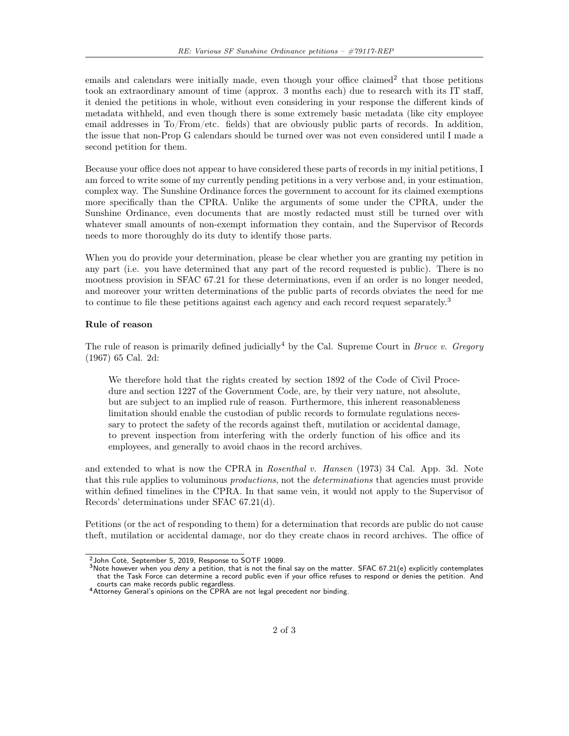emails and calendars were initially made, even though your office claimed<sup>[2](#page-1-0)</sup> that those petitions took an extraordinary amount of time (approx. 3 months each) due to research with its IT staff, it denied the petitions in whole, without even considering in your response the different kinds of metadata withheld, and even though there is some extremely basic metadata (like city employee email addresses in To/From/etc. fields) that are obviously public parts of records. In addition, the issue that non-Prop G calendars should be turned over was not even considered until I made a second petition for them.

Because your office does not appear to have considered these parts of records in my initial petitions, I am forced to write some of my currently pending petitions in a very verbose and, in your estimation, complex way. The Sunshine Ordinance forces the government to account for its claimed exemptions more specifically than the CPRA. Unlike the arguments of some under the CPRA, under the Sunshine Ordinance, even documents that are mostly redacted must still be turned over with whatever small amounts of non-exempt information they contain, and the Supervisor of Records needs to more thoroughly do its duty to identify those parts.

When you do provide your determination, please be clear whether you are granting my petition in any part (i.e. you have determined that any part of the record requested is public). There is no mootness provision in SFAC 67.21 for these determinations, even if an order is no longer needed, and moreover your written determinations of the public parts of records obviates the need for me to continue to file these petitions against each agency and each record request separately.<sup>[3](#page-1-1)</sup>

## Rule of reason

The rule of reason is primarily defined judicially<sup>[4](#page-1-2)</sup> by the Cal. Supreme Court in *Bruce v. Gregory* (1967) 65 Cal. 2d:

We therefore hold that the rights created by section 1892 of the Code of Civil Procedure and section 1227 of the Government Code, are, by their very nature, not absolute, but are subject to an implied rule of reason. Furthermore, this inherent reasonableness limitation should enable the custodian of public records to formulate regulations necessary to protect the safety of the records against theft, mutilation or accidental damage, to prevent inspection from interfering with the orderly function of his office and its employees, and generally to avoid chaos in the record archives.

and extended to what is now the CPRA in Rosenthal v. Hansen (1973) 34 Cal. App. 3d. Note that this rule applies to voluminous *productions*, not the *determinations* that agencies must provide within defined timelines in the CPRA. In that same vein, it would not apply to the Supervisor of Records' determinations under SFAC 67.21(d).

Petitions (or the act of responding to them) for a determination that records are public do not cause theft, mutilation or accidental damage, nor do they create chaos in record archives. The office of

<sup>2</sup>John Coté, September 5, 2019, Response to SOTF 19089.

<span id="page-1-1"></span><span id="page-1-0"></span><sup>3</sup>Note however when you deny a petition, that is not the final say on the matter. SFAC 67.21(e) explicitly contemplates that the Task Force can determine a record public even if your office refuses to respond or denies the petition. And courts can make records public regardless.

<span id="page-1-2"></span><sup>&</sup>lt;sup>4</sup> Attorney General's opinions on the CPRA are not legal precedent nor binding.